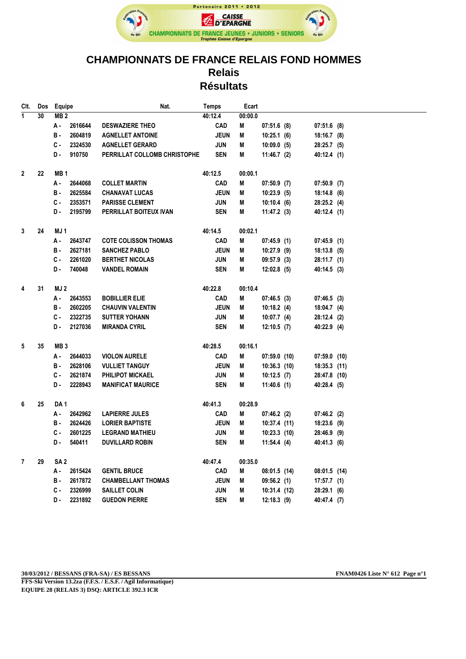

## **CHAMPIONNATS DE FRANCE RELAIS FOND HOMMES Relais Résultats**

| Clt.               | Dos | Equipe          |         | Nat.                         | Temps       | Ecart   |                |                |  |
|--------------------|-----|-----------------|---------|------------------------------|-------------|---------|----------------|----------------|--|
| $\overline{1}$     | 30  | MB <sub>2</sub> |         |                              | 40:12.4     | 00:00.0 |                |                |  |
|                    |     | А -             | 2616644 | <b>DESWAZIERE THEO</b>       | <b>CAD</b>  | Μ       | $07:51.6$ (8)  | $07:51.6$ (8)  |  |
|                    |     | в.              | 2604819 | <b>AGNELLET ANTOINE</b>      | <b>JEUN</b> | Μ       | 10:25.1(6)     | $18:16.7$ (8)  |  |
|                    |     | C -             | 2324530 | <b>AGNELLET GERARD</b>       | JUN         | M       | 10:09.0(5)     | 28:25.7 (5)    |  |
|                    |     | D.              | 910750  | PERRILLAT COLLOMB CHRISTOPHE | <b>SEN</b>  | Μ       | 11:46.7(2)     | 40:12.4(1)     |  |
|                    |     |                 |         |                              |             |         |                |                |  |
| $\overline{2}$     | 22  | MB <sub>1</sub> |         |                              | 40:12.5     | 00:00.1 |                |                |  |
|                    |     | А.              | 2644068 | <b>COLLET MARTIN</b>         | <b>CAD</b>  | Μ       | $07:50.9$ (7)  | $07:50.9$ (7)  |  |
|                    |     | в.              | 2625584 | <b>CHANAVAT LUCAS</b>        | <b>JEUN</b> | M       | 10:23.9(5)     | $18:14.8$ (6)  |  |
|                    |     | C -             | 2353571 | <b>PARISSE CLEMENT</b>       | JUN         | Μ       | 10:10.4(6)     | 28:25.2 (4)    |  |
|                    |     | D.              | 2195799 | PERRILLAT BOITEUX IVAN       | <b>SEN</b>  | Μ       | 11:47.2(3)     | 40:12.4 (1)    |  |
|                    |     |                 |         |                              |             |         |                |                |  |
| 3                  | 24  | MJ 1            |         |                              | 40:14.5     | 00:02.1 |                |                |  |
|                    |     | А.              | 2643747 | <b>COTE COLISSON THOMAS</b>  | <b>CAD</b>  | M       | 07:45.9(1)     | 07:45.9(1)     |  |
|                    |     | в.              | 2627181 | <b>SANCHEZ PABLO</b>         | <b>JEUN</b> | M       | $10:27.9$ (9)  | $18:13.8$ (5)  |  |
|                    |     | c.              | 2261020 | <b>BERTHET NICOLAS</b>       | <b>JUN</b>  | Μ       | $09:57.9$ (3)  | 28:11.7(1)     |  |
|                    |     | D-              | 740048  | <b>VANDEL ROMAIN</b>         | <b>SEN</b>  | Μ       | $12:02.8$ (5)  | 40:14.5 (3)    |  |
|                    |     |                 |         |                              |             |         |                |                |  |
| 4                  | 31  | MJ 2            |         |                              | 40:22.8     | 00:10.4 |                |                |  |
|                    |     | А.              | 2643553 | <b>BOBILLIER ELIE</b>        | <b>CAD</b>  | Μ       | 07:46.5(3)     | 07:46.5(3)     |  |
|                    |     | в.              | 2602205 | <b>CHAUVIN VALENTIN</b>      | <b>JEUN</b> | M       | 10:18.2(4)     | 18:04.7(4)     |  |
|                    |     | C -             | 2322735 | <b>SUTTER YOHANN</b>         | JUN         | Μ       | 10:07.7(4)     | 28:12.4 (2)    |  |
|                    |     | D.              | 2127036 | <b>MIRANDA CYRIL</b>         | <b>SEN</b>  | Μ       | 12:10.5(7)     | 40:22.9 (4)    |  |
|                    |     |                 |         |                              |             |         |                |                |  |
| 5                  | 35  | MB <sub>3</sub> |         |                              | 40:28.5     | 00:16.1 |                |                |  |
|                    |     | A -             | 2644033 | <b>VIOLON AURELE</b>         | <b>CAD</b>  | Μ       | 07:59.0(10)    | $07:59.0$ (10) |  |
|                    |     | в.              | 2628106 | <b>VULLIET TANGUY</b>        | <b>JEUN</b> | M       | $10:36.3$ (10) | 18:35.3 (11)   |  |
|                    |     | c.              | 2621874 | <b>PHILIPOT MICKAEL</b>      | JUN         | Μ       | 10:12.5(7)     | 28:47.8 (10)   |  |
|                    |     | D-              | 2228943 | <b>MANIFICAT MAURICE</b>     | <b>SEN</b>  | Μ       | $11:40.6$ (1)  | 40:28.4 (5)    |  |
|                    |     |                 |         |                              |             |         |                |                |  |
| 6                  | 25  | DA <sub>1</sub> |         |                              | 40:41.3     | 00:28.9 |                |                |  |
|                    |     | А -             | 2642962 | <b>LAPIERRE JULES</b>        | <b>CAD</b>  | M       | 07:46.2(2)     | $07:46.2$ (2)  |  |
|                    |     | в.              | 2624426 | <b>LORIER BAPTISTE</b>       | <b>JEUN</b> | Μ       | 10:37.4(11)    | 18:23.6 (9)    |  |
|                    |     | c.              | 2601225 | <b>LEGRAND MATHIEU</b>       | JUN         | Μ       | $10:23.3$ (10) | 28:46.9 (9)    |  |
|                    |     | D-              | 540411  | <b>DUVILLARD ROBIN</b>       | <b>SEN</b>  | Μ       | 11:54.4(4)     | 40:41.3 (6)    |  |
| $\mathbf{7}$<br>29 |     | SA <sub>2</sub> |         |                              | 40:47.4     | 00:35.0 |                |                |  |
|                    |     | А.              | 2615424 | <b>GENTIL BRUCE</b>          | <b>CAD</b>  | M       | 08:01.5(14)    | 08:01.5(14)    |  |
|                    |     | в.              | 2617872 | <b>CHAMBELLANT THOMAS</b>    | <b>JEUN</b> | M       | 09:56.2(1)     | 17:57.7(1)     |  |
|                    |     | C -             | 2326999 | <b>SAILLET COLIN</b>         | JUN         | Μ       | 10:31.4(12)    | 28:29.1 (6)    |  |
|                    |     | D-              | 2231892 | <b>GUEDON PIERRE</b>         | <b>SEN</b>  | Μ       | $12:18.3$ (9)  | 40:47.4 (7)    |  |
|                    |     |                 |         |                              |             |         |                |                |  |

**30/03/2012 / BESSANS (FRA-SA) / ES BESSANS FNAM0426 Liste N° 612 Page n°1**

**FFS-Ski Version 13.2za (F.F.S. / E.S.F. / Agil Informatique) EQUIPE 28 (RELAIS 3) DSQ: ARTICLE 392.3 ICR**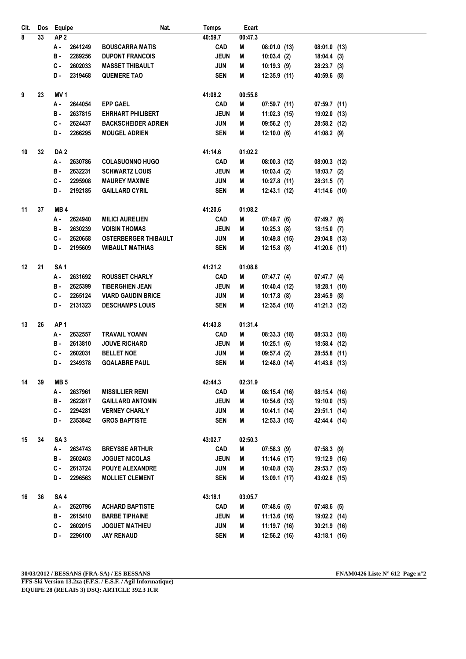| CIt.           | Dos | Equipe                | Nat.                        | <b>Temps</b> | Ecart   |                |                |  |
|----------------|-----|-----------------------|-----------------------------|--------------|---------|----------------|----------------|--|
| $\overline{8}$ | 33  | AP <sub>2</sub>       |                             | 40:59.7      | 00:47.3 |                |                |  |
|                |     | 2641249<br>А.         | <b>BOUSCARRA MATIS</b>      | <b>CAD</b>   | M       | 08:01.0(13)    | $08:01.0$ (13) |  |
|                |     | 2289256<br>в.         | <b>DUPONT FRANCOIS</b>      | <b>JEUN</b>  | Μ       | 10:03.4(2)     | 18:04.4(3)     |  |
|                |     | 2602033<br>C -        | <b>MASSET THIBAULT</b>      | <b>JUN</b>   | M       | 10:19.3(9)     | 28:23.7 (3)    |  |
|                |     | 2319468<br>D.         | <b>QUEMERE TAO</b>          | <b>SEN</b>   | Μ       | 12:35.9(11)    | 40:59.6 (8)    |  |
|                |     |                       |                             |              |         |                |                |  |
| 9              | 23  | <b>MV1</b>            |                             | 41:08.2      | 00:55.8 |                |                |  |
|                |     | 2644054<br>А.         | <b>EPP GAEL</b>             | <b>CAD</b>   | M       | 07:59.7 (11)   | $07:59.7$ (11) |  |
|                |     | 2637815<br>в.         | <b>EHRHART PHILIBERT</b>    | <b>JEUN</b>  | Μ       | $11:02.3$ (15) | 19:02.0 (13)   |  |
|                |     | С.<br>2624437         | <b>BACKSCHEIDER ADRIEN</b>  | <b>JUN</b>   | M       | 09:56.2(1)     | 28:58.2 (12)   |  |
|                |     | 2266295<br>D-         | <b>MOUGEL ADRIEN</b>        | <b>SEN</b>   | Μ       | $12:10.0$ (6)  | 41:08.2 (9)    |  |
|                |     |                       |                             |              |         |                |                |  |
| 10             | 32  | DA <sub>2</sub>       |                             | 41:14.6      | 01:02.2 |                |                |  |
|                |     | 2630786<br>А.         | <b>COLASUONNO HUGO</b>      | <b>CAD</b>   | М       | 08:00.3(12)    | $08:00.3$ (12) |  |
|                |     | 2632231<br>в.         | <b>SCHWARTZ LOUIS</b>       | <b>JEUN</b>  | M       | 10:03.4(2)     | $18:03.7$ (2)  |  |
|                |     | 2295908<br>C -        | <b>MAUREY MAXIME</b>        | JUN          | М       | 10:27.8 (11)   | 28:31.5 (7)    |  |
|                |     | 2192185<br>D.         | <b>GAILLARD CYRIL</b>       | <b>SEN</b>   | М       | 12:43.1 (12)   | 41:14.6 (10)   |  |
|                |     |                       |                             |              |         |                |                |  |
| 11             | 37  | MB <sub>4</sub>       |                             | 41:20.6      | 01:08.2 |                |                |  |
|                |     | 2624940<br>А.         | <b>MILICI AURELIEN</b>      | <b>CAD</b>   | Μ       | 07:49.7(6)     | 07:49.7 (6)    |  |
|                |     | 2630239<br><b>B</b> - | <b>VOISIN THOMAS</b>        | <b>JEUN</b>  | Μ       | 10:25.3(8)     | $18:15.0$ (7)  |  |
|                |     | С.<br>2620658         | <b>OSTERBERGER THIBAULT</b> | JUN          | M       | 10:49.8 (15)   | 29:04.8 (13)   |  |
|                |     | 2195609<br>D-         | <b>WIBAULT MATHIAS</b>      | <b>SEN</b>   | M       | $12:15.8$ (8)  | 41:20.6 (11)   |  |
| 12             | 21  | SA <sub>1</sub>       |                             | 41:21.2      | 01:08.8 |                |                |  |
|                |     | 2631692<br>А.         | <b>ROUSSET CHARLY</b>       | <b>CAD</b>   | М       | 07:47.7 (4)    | 07:47.7 (4)    |  |
|                |     | 2625399<br>в.         | <b>TIBERGHIEN JEAN</b>      | <b>JEUN</b>  | Μ       | 10:40.4 (12)   | 18:28.1 (10)   |  |
|                |     | 2265124<br>С.         | <b>VIARD GAUDIN BRICE</b>   | <b>JUN</b>   | M       | 10:17.8 (8)    | 28:45.9 (8)    |  |
|                |     | D-<br>2131323         | <b>DESCHAMPS LOUIS</b>      | <b>SEN</b>   | Μ       | 12:35.4 (10)   | 41:21.3 (12)   |  |
|                |     |                       |                             |              |         |                |                |  |
| 13             | 26  | AP <sub>1</sub>       |                             | 41:43.8      | 01:31.4 |                |                |  |
|                |     | 2632557<br>А -        | <b>TRAVAIL YOANN</b>        | <b>CAD</b>   | Μ       | 08:33.3(18)    | 08:33.3(18)    |  |
|                |     | 2613810<br>в.         | <b>JOUVE RICHARD</b>        | <b>JEUN</b>  | Μ       | 10:25.1(6)     | 18:58.4 (12)   |  |
|                |     | 2602031<br>С.         | <b>BELLET NOE</b>           | JUN          | M       | 09:57.4 (2)    | 28:55.8 (11)   |  |
|                |     | 2349378<br>D-         | <b>GOALABRE PAUL</b>        | <b>SEN</b>   | M       | 12:48.0 (14)   | 41:43.8 (13)   |  |
| 14             | 39  | MB <sub>5</sub>       |                             | 42:44.3      | 02:31.9 |                |                |  |
|                |     | 2637961<br>А.         | <b>MISSILLIER REMI</b>      | <b>CAD</b>   | М       | 08:15.4 (16)   | 08:15.4(16)    |  |
|                |     | 2622817<br>в.         | <b>GAILLARD ANTONIN</b>     | <b>JEUN</b>  | M       | 10:54.6 (13)   | 19:10.0 (15)   |  |
|                |     | C -<br>2294281        | <b>VERNEY CHARLY</b>        | JUN          | M       | 10:41.1 (14)   | 29:51.1 (14)   |  |
|                |     | 2353842<br>D.         | <b>GROS BAPTISTE</b>        | SEN          | М       | 12:53.3 (15)   | 42:44.4 (14)   |  |
|                |     |                       |                             |              |         |                |                |  |
| 15             | 34  | SA <sub>3</sub>       |                             | 43:02.7      | 02:50.3 |                |                |  |
|                |     | 2634743<br>А.         | <b>BREYSSE ARTHUR</b>       | <b>CAD</b>   | М       | 07:58.3(9)     | $07:58.3$ (9)  |  |
|                |     | <b>B</b> -<br>2602403 | <b>JOGUET NICOLAS</b>       | <b>JEUN</b>  | Μ       | 11:14.6 (17)   | 19:12.9 (16)   |  |
|                |     | C -<br>2613724        | <b>POUYE ALEXANDRE</b>      | JUN          | Μ       | 10:40.8 (13)   | 29:53.7 (15)   |  |
|                |     | 2296563<br>D.         | <b>MOLLIET CLEMENT</b>      | SEN          | M       | 13:09.1 (17)   | 43:02.8 (15)   |  |
|                |     |                       |                             |              |         |                |                |  |
| 16             | 36  | SA <sub>4</sub>       |                             | 43:18.1      | 03:05.7 |                |                |  |
|                |     | 2620796<br>А.         | <b>ACHARD BAPTISTE</b>      | <b>CAD</b>   | M       | 07:48.6 (5)    | $07:48.6$ (5)  |  |
|                |     | В.<br>2615410         | <b>BARBE TIPHAINE</b>       | <b>JEUN</b>  | Μ       | 11:13.6 (16)   | 19:02.2 (14)   |  |
|                |     | C -<br>2602015        | <b>JOGUET MATHIEU</b>       | <b>JUN</b>   | Μ       | 11:19.7 (16)   | $30:21.9$ (16) |  |
|                |     | 2296100<br>D-         | <b>JAY RENAUD</b>           | <b>SEN</b>   | Μ       | 12:56.2 (16)   | 43:18.1 (16)   |  |